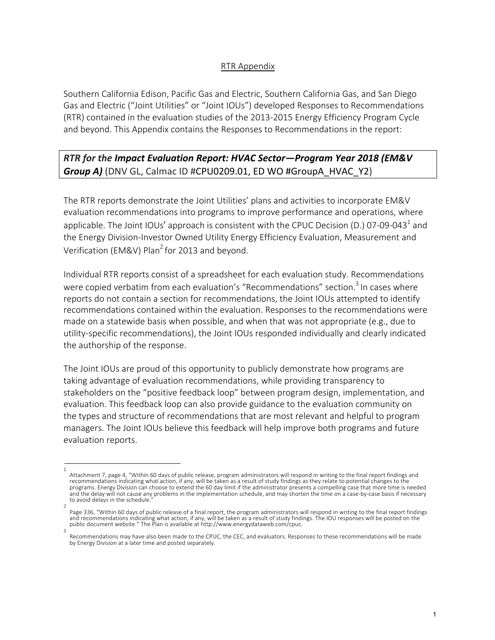## RTR Appendix

Southern California Edison, Pacific Gas and Electric, Southern California Gas, and San Diego Gas and Electric ("Joint Utilities" or "Joint IOUs") developed Responses to Recommendations (RTR) contained in the evaluation studies of the 2013-2015 Energy Efficiency Program Cycle and beyond. This Appendix contains the Responses to Recommendations in the report:

## *RTR for the Impact Evaluation Report: HVAC Sector—Program Year 2018 (EM&V Group A)* (DNV GL, Calmac ID #CPU0209.01, ED WO #GroupA\_HVAC\_Y2)

The RTR reports demonstrate the Joint Utilities' plans and activities to incorporate EM&V evaluation recommendations into programs to improve performance and operations, where applicable. The Joint IOUs' approach is consistent with the CPUC Decision (D.) 07-09-043<sup>1</sup> and the Energy Division-Investor Owned Utility Energy Efficiency Evaluation, Measurement and Verification (EM&V) Plan<sup>2</sup> for 2013 and beyond.

Individual RTR reports consist of a spreadsheet for each evaluation study. Recommendations were copied verbatim from each evaluation's "Recommendations" section.<sup>3</sup> In cases where reports do not contain a section for recommendations, the Joint IOUs attempted to identify recommendations contained within the evaluation. Responses to the recommendations were made on a statewide basis when possible, and when that was not appropriate (e.g., due to utility-specific recommendations), the Joint IOUs responded individually and clearly indicated the authorship of the response.

The Joint IOUs are proud of this opportunity to publicly demonstrate how programs are taking advantage of evaluation recommendations, while providing transparency to stakeholders on the "positive feedback loop" between program design, implementation, and evaluation. This feedback loop can also provide guidance to the evaluation community on the types and structure of recommendations that are most relevant and helpful to program managers. The Joint IOUs believe this feedback will help improve both programs and future evaluation reports.

<sup>1</sup>  Attachment 7, page 4, "Within 60 days of public release, program administrators will respond in writing to the final report findings and recommendations indicating what action, if any, will be taken as a result of study findings as they relate to potential changes to the programs. Energy Division can choose to extend the 60 day limit if the administrator presents a compelling case that more time is needed and the delay will not cause any problems in the implementation schedule, and may shorten the time on a case-by-case basis if necessary to avoid delays in the schedule.

<sup>2</sup>  Page 336, "Within 60 days of public release of a final report, the program administrators will respond in writing to the final report findings and recommendations indicating what action, if any, will be taken as a result of study findings. The IOU responses will be posted on the public document website." The Plan is available at http://www.energydataweb.com/cpuc. 3

Recommendations may have also been made to the CPUC, the CEC, and evaluators. Responses to these recommendations will be made by Energy Division at a later time and posted separately.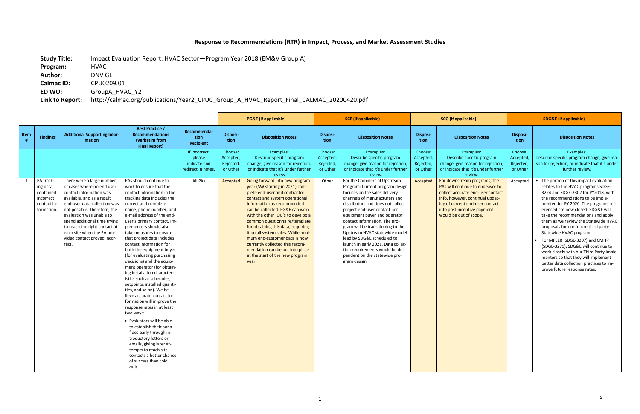## **Response to Recommendations (RTR) in Impact, Process, and Market Assessment Studies**

**Calmac ID:** CPU0209.01<br>**ED WO:** GroupA\_HVA **ED WO:** GroupA\_HVAC\_Y2

**Study Title:** Impact Evaluation Report: HVAC Sector—Program Year 2018 (EM&V Group A)

**Program:** HVAC

**Author:** DNV GL

**Link to Report:** http://calmac.org/publications/Year2\_CPUC\_Group\_A\_HVAC\_Report\_Final\_CALMAC\_20200420.pdf

|             |                                                                              |                                                                                                                                                                                                                                                                                                                                                     |                                                                                                                                                                                                                                                                                                                                                                                                                                                                                                                                                                                                                                                                                                                                                                                                                                                                                                                               |                                                                          | <b>PG&amp;E</b> (if applicable)                           |                                                                                                                                                                                                                                                                                                                                                                                                                                                                                                                                                                                                                                              |                                                        | <b>SCE (if applicable)</b>                                                                                                                                                                                                                                                                                                                                                                                                                                                                                                                                                                                                            | <b>SCG</b> (if applicable)                                |                                                                                                                                                                                                                                                                                                                                                                        | <b>SDG&amp;E</b> (if applicable)                         |                                                                                                                                                                                                                                                                                                                                                                                                                                                                                                                                                                                                                                                                                                                                                                  |
|-------------|------------------------------------------------------------------------------|-----------------------------------------------------------------------------------------------------------------------------------------------------------------------------------------------------------------------------------------------------------------------------------------------------------------------------------------------------|-------------------------------------------------------------------------------------------------------------------------------------------------------------------------------------------------------------------------------------------------------------------------------------------------------------------------------------------------------------------------------------------------------------------------------------------------------------------------------------------------------------------------------------------------------------------------------------------------------------------------------------------------------------------------------------------------------------------------------------------------------------------------------------------------------------------------------------------------------------------------------------------------------------------------------|--------------------------------------------------------------------------|-----------------------------------------------------------|----------------------------------------------------------------------------------------------------------------------------------------------------------------------------------------------------------------------------------------------------------------------------------------------------------------------------------------------------------------------------------------------------------------------------------------------------------------------------------------------------------------------------------------------------------------------------------------------------------------------------------------------|--------------------------------------------------------|---------------------------------------------------------------------------------------------------------------------------------------------------------------------------------------------------------------------------------------------------------------------------------------------------------------------------------------------------------------------------------------------------------------------------------------------------------------------------------------------------------------------------------------------------------------------------------------------------------------------------------------|-----------------------------------------------------------|------------------------------------------------------------------------------------------------------------------------------------------------------------------------------------------------------------------------------------------------------------------------------------------------------------------------------------------------------------------------|----------------------------------------------------------|------------------------------------------------------------------------------------------------------------------------------------------------------------------------------------------------------------------------------------------------------------------------------------------------------------------------------------------------------------------------------------------------------------------------------------------------------------------------------------------------------------------------------------------------------------------------------------------------------------------------------------------------------------------------------------------------------------------------------------------------------------------|
| Item<br>- # | <b>Findings</b>                                                              | <b>Additional Supporting Infor-</b><br>mation                                                                                                                                                                                                                                                                                                       | <b>Best Practice /</b><br><b>Recommendations</b><br>(Verbatim from<br><b>Final Report)</b>                                                                                                                                                                                                                                                                                                                                                                                                                                                                                                                                                                                                                                                                                                                                                                                                                                    | Recommenda-<br>tion<br><b>Recipient</b>                                  | Disposi-<br>tion                                          | <b>Disposition Notes</b>                                                                                                                                                                                                                                                                                                                                                                                                                                                                                                                                                                                                                     | <b>Disposi-</b><br>tion                                | <b>Disposition Notes</b>                                                                                                                                                                                                                                                                                                                                                                                                                                                                                                                                                                                                              | <b>Disposi-</b><br>tion                                   | <b>Disposition Notes</b>                                                                                                                                                                                                                                                                                                                                               | Disposi-<br>tion                                         | <b>Disposition Notes</b>                                                                                                                                                                                                                                                                                                                                                                                                                                                                                                                                                                                                                                                                                                                                         |
|             | PA track-<br>ing data<br>contained<br>incorrect<br>contact in-<br>formation. | There were a large number<br>of cases where no end user<br>contact information was<br>available, and as a result<br>end-user data collection was<br>not possible. Therefore, the<br>evaluation was unable to<br>spend additional time trying<br>to reach the right contact at<br>each site when the PA pro-<br>vided contact proved incor-<br>rect. | PAs should continue to<br>work to ensure that the<br>contact information in the<br>tracking data includes the<br>correct and complete<br>name, phone number, and<br>e-mail address of the end-<br>user's primary contact. Im-<br>plementers should also<br>take measures to ensure<br>that project data includes<br>contact information for<br>both the equipment buyer<br>(for evaluating purchasing<br>decisions) and the equip-<br>ment operator (for obtain-<br>ing installation character-<br>istics such as schedules,<br>setpoints, installed quanti-<br>ties, and so on). We be-<br>lieve accurate contact in-<br>formation will improve the<br>response rates in at least<br>two ways:<br>• Evaluators will be able<br>to establish their bona<br>fides early through in-<br>troductory letters or<br>emails, giving later at-<br>tempts to reach site<br>contacts a better chance<br>of success than cold<br>calls. | If incorrect,<br>please<br>indicate and<br>redirect in notes.<br>All PAs | Choose:<br>Accepted,<br>Rejected,<br>or Other<br>Accepted | Examples:<br>Describe specific program<br>change, give reason for rejection,<br>or indicate that it's under further<br>review.<br>Going forward into new program<br>year (SW starting in 2021) com-<br>plete end-user and contractor<br>contact and system operational<br>information as recommended<br>can be collected. PG&E can work<br>with the other IOU's to develop a<br>common questionnaire/template<br>for obtaining this data, requiring<br>it on all system sales. While mini-<br>mum end-customer data is now<br>currently collected this recom-<br>mendation can be put into place<br>at the start of the new program<br>year. | Choose:<br>Accepted,<br>Rejected,<br>or Other<br>Other | Examples:<br>Describe specific program<br>change, give reason for rejection,<br>or indicate that it's under further<br>review.<br>For the Commercial Upstream<br>Program: Current program design<br>focuses on the sales delivery<br>channels of manufacturers and<br>distributors and does not collect<br>project end-user contact nor<br>equipment buyer and operator<br>contact information. The pro-<br>gram will be transitioning to the<br>Upstream HVAC statewide model<br>lead by SDG&E scheduled to<br>launch in early 2021. Data collec-<br>tion requirements would be de-<br>pendent on the statewide pro-<br>gram design. | Choose:<br>Accepted,<br>Rejected,<br>or Other<br>Accepted | Examples:<br>Describe specific program<br>change, give reason for rejection,<br>or indicate that it's under further<br>review.<br>For downstream programs, the<br>PAs will continue to endeavor to<br>collect accurate end-user contact<br>info, however, continual updat-<br>ing of current end-user contact<br>info post-incentive payment<br>would be out of scope. | Choose:<br>Accepted<br>Rejected,<br>or Other<br>Accepted | Examples:<br>Describe specific program change, give rea-<br>son for rejection, or indicate that it's under<br>further review.<br>• The portion of this impact evaluation<br>relates to the HVAC programs SDGE-<br>3224 and SDGE-3302 for PY2018, with<br>the recommendations to be imple-<br>mented for PY 2020. The programs ref-<br>erenced are now closed. SDG&E will<br>take the recommendations and apply<br>them as we review the Statewide HVAC<br>proposals for our future third party<br>Statewide HVAC program.<br>For MFEER (SDGE-3207) and CMHP<br>(SDGE-3279), SDG&E will continue to<br>work closely with our Third Party Imple-<br>menters so that they will implement<br>better data collection practices to im-<br>prove future response rates. |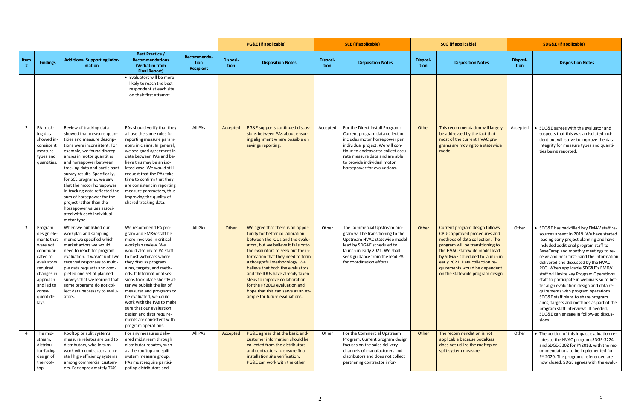|      |                                                                                                                                                                            |                                                                                                                                                                                                                                                                                                                                                                                                                                                                                                         |                                                                                                                                                                                                                                                                                                                                                                                                                                                                                                           |                                  |                  | <b>PG&amp;E</b> (if applicable)                                                                                                                                                                                                                                                                                                                                                                                                                                          |                         | <b>SCE</b> (if applicable)                                                                                                                                                                                                                                                    |                         | <b>SCG</b> (if applicable)                                                                                                                                                                                                                                                                                        | <b>SDG&amp;E</b> (if applicable) |                                                                                                                                                                                                                                                                                                                                                                                                                                                                                                                                                                                                                                                                                                   |
|------|----------------------------------------------------------------------------------------------------------------------------------------------------------------------------|---------------------------------------------------------------------------------------------------------------------------------------------------------------------------------------------------------------------------------------------------------------------------------------------------------------------------------------------------------------------------------------------------------------------------------------------------------------------------------------------------------|-----------------------------------------------------------------------------------------------------------------------------------------------------------------------------------------------------------------------------------------------------------------------------------------------------------------------------------------------------------------------------------------------------------------------------------------------------------------------------------------------------------|----------------------------------|------------------|--------------------------------------------------------------------------------------------------------------------------------------------------------------------------------------------------------------------------------------------------------------------------------------------------------------------------------------------------------------------------------------------------------------------------------------------------------------------------|-------------------------|-------------------------------------------------------------------------------------------------------------------------------------------------------------------------------------------------------------------------------------------------------------------------------|-------------------------|-------------------------------------------------------------------------------------------------------------------------------------------------------------------------------------------------------------------------------------------------------------------------------------------------------------------|----------------------------------|---------------------------------------------------------------------------------------------------------------------------------------------------------------------------------------------------------------------------------------------------------------------------------------------------------------------------------------------------------------------------------------------------------------------------------------------------------------------------------------------------------------------------------------------------------------------------------------------------------------------------------------------------------------------------------------------------|
| Item | <b>Findings</b>                                                                                                                                                            | <b>Additional Supporting Infor-</b><br>mation                                                                                                                                                                                                                                                                                                                                                                                                                                                           | <b>Best Practice /</b><br><b>Recommendations</b><br>(Verbatim from<br><b>Final Report)</b>                                                                                                                                                                                                                                                                                                                                                                                                                | Recommenda-<br>tion<br>Recipient | Disposi-<br>tion | <b>Disposition Notes</b>                                                                                                                                                                                                                                                                                                                                                                                                                                                 | <b>Disposi-</b><br>tion | <b>Disposition Notes</b>                                                                                                                                                                                                                                                      | <b>Disposi-</b><br>tion | <b>Disposition Notes</b>                                                                                                                                                                                                                                                                                          | <b>Disposi-</b><br>tion          | <b>Disposition Notes</b>                                                                                                                                                                                                                                                                                                                                                                                                                                                                                                                                                                                                                                                                          |
|      |                                                                                                                                                                            |                                                                                                                                                                                                                                                                                                                                                                                                                                                                                                         | • Evaluators will be more<br>likely to reach the best<br>respondent at each site<br>on their first attempt.                                                                                                                                                                                                                                                                                                                                                                                               |                                  |                  |                                                                                                                                                                                                                                                                                                                                                                                                                                                                          |                         |                                                                                                                                                                                                                                                                               |                         |                                                                                                                                                                                                                                                                                                                   |                                  |                                                                                                                                                                                                                                                                                                                                                                                                                                                                                                                                                                                                                                                                                                   |
|      | PA track-<br>ing data<br>showed in-<br>consistent<br>measure<br>types and<br>quantities.                                                                                   | Review of tracking data<br>showed that measure quan-<br>tities and measure descrip-<br>tions were inconsistent. For<br>example, we found discrep-<br>ancies in motor quantities<br>and horsepower between<br>tracking data and participant<br>survey results. Specifically,<br>for SCE programs, we saw<br>that the motor horsepower<br>in tracking data reflected the<br>sum of horsepower for the<br>project rather than the<br>horsepower values associ-<br>ated with each individual<br>motor type. | PAs should verify that they<br>all use the same rules for<br>reporting measure param-<br>eters in claims. In general,<br>we see good agreement in<br>data between PAs and be-<br>lieve this may be an iso-<br>lated case. We would still<br>request that the PAs take<br>time to confirm that they<br>are consistent in reporting<br>measure parameters, thus<br>improving the quality of<br>shared tracking data.                                                                                        | All PAs                          | Accepted         | PG&E supports continued discus-<br>sions between PAs about ensur-<br>ing alignment where possible on<br>savings reporting.                                                                                                                                                                                                                                                                                                                                               | Accepted                | For the Direct Install Program:<br>Current program data collection<br>includes motor horsepower per<br>individual project. We will con-<br>tinue to endeavor to collect accu-<br>rate measure data and are able<br>to provide individual motor<br>horsepower for evaluations. | Other                   | This recommendation will largely<br>be addressed by the fact that<br>most of the current HVAC pro-<br>grams are moving to a statewide<br>model.                                                                                                                                                                   | Accepted                         | SDG&E agrees with the evaluator and<br>suspects that this was an isolated inci-<br>dent but will strive to improve the data<br>integrity for measure types and quanti-<br>ties being reported.                                                                                                                                                                                                                                                                                                                                                                                                                                                                                                    |
|      | Program<br>design ele-<br>ments that<br>were not<br>communi-<br>cated to<br>evaluators<br>required<br>changes in<br>approach<br>and led to<br>conse-<br>quent de-<br>lays. | When we published our<br>workplan and sampling<br>memo we specified which<br>market actors we would<br>need to reach for program<br>evaluation. It wasn't until we<br>received responses to multi-<br>ple data requests and com-<br>pleted one set of planned<br>surveys that we learned that<br>some programs do not col-<br>lect data necessary to evalu-<br>ators.                                                                                                                                   | We recommend PA pro-<br>gram and EM&V staff be<br>more involved in critical<br>workplan review. We<br>would also invite PA staff<br>to host webinars where<br>they discuss program<br>aims, targets, and meth-<br>ods. If Informational ses-<br>sions took place shortly af-<br>ter we publish the list of<br>measures and programs to<br>be evaluated, we could<br>work with the PAs to make<br>sure that our evaluation<br>design and data require-<br>ments are consistent with<br>program operations. | All PAs                          | Other            | We agree that there is an oppor-<br>tunity for better collaboration<br>between the IOUs and the evalu-<br>ators, but we believe it falls onto<br>the evaluators to seek out the in-<br>formation that they need to form<br>a thoughtful methodology. We<br>believe that both the evaluators<br>and the IOUs have already taken<br>steps to improve collaboration<br>for the PY2019 evaluation and<br>hope that this can serve as an ex-<br>ample for future evaluations. | Other                   | The Commercial Upstream pro-<br>gram will be transitioning to the<br>Upstream HVAC statewide model<br>lead by SDG&E scheduled to<br>launch in early 2021. We shall<br>seek guidance from the lead PA<br>for coordination efforts.                                             | Other                   | Current program design follows<br>CPUC approved procedures and<br>methods of data collection. The<br>program will be transitioning to<br>the HVAC statewide model lead<br>by SDG&E scheduled to launch in<br>early 2021. Data collection re-<br>quirements would be dependent<br>on the statewide program design. | Other                            | SDG&E has backfilled key EM&V staff re-<br>sources absent in 2019. We have started<br>leading early project planning and have<br>included additional program staff to<br>BaseCamp and monthly meetings to re-<br>ceive and hear first-hand the information<br>delivered and discussed by the HVAC<br>PCG. When applicable SDG&E's EM&V<br>staff will invite key Program Operations<br>staff to participate in webinars so to bet-<br>ter align evaluation design and data re-<br>quirements with program operations.<br>SDG&E staff plans to share program<br>aims, targets and methods as part of the<br>program staff interviews. If needed,<br>SDG&E can engage in follow-up discus-<br>sions. |
|      | The mid-<br>stream,<br>distribu-<br>tor-facing<br>design of<br>the roof-<br>top                                                                                            | Rooftop or split systems<br>measure rebates are paid to<br>distributors, who in turn<br>work with contractors to in-<br>stall high-efficiency systems<br>among commercial custom-<br>ers. For approximately 74%                                                                                                                                                                                                                                                                                         | For any measures deliv-<br>ered midstream through<br>distributor rebates, such<br>as the rooftop and split<br>system measure group,<br>PAs must require partici-<br>pating distributors and                                                                                                                                                                                                                                                                                                               | All PAs                          | Accepted         | PG&E agrees that the basic end-<br>customer information should be<br>collected from the distributors<br>and contractors to ensure final<br>installation site verification.<br>PG&E can work with the other                                                                                                                                                                                                                                                               | Other                   | For the Commercial Upstream<br>Program: Current program design<br>focuses on the sales delivery<br>channels of manufacturers and<br>distributors and does not collect<br>partnering contractor infor-                                                                         | Other                   | The recommendation is not<br>applicable because SoCalGas<br>does not utilize the rooftop or<br>split system measure.                                                                                                                                                                                              | Other                            | The portion of this impact evaluation re-<br>lates to the HVAC programsSDGE-3224<br>and SDGE-3302 for PY2018, with the rec-<br>ommendations to be implemented for<br>PY 2020. The programs referenced are<br>now closed. SDGE agrees with the evalu-                                                                                                                                                                                                                                                                                                                                                                                                                                              |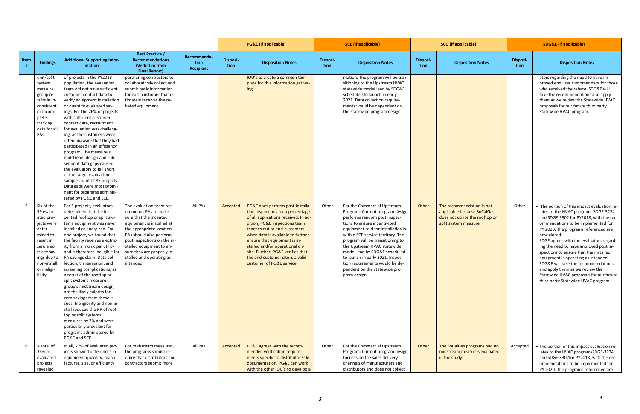|      |                                                                                                                                                                             |                                                                                                                                                                                                                                                                                                                                                                                                                                                                                                                                                                                                                                                                                                                                      |                                                                                                                                                                                                                                                                                                  |                                         |                         | <b>PG&amp;E</b> (if applicable)                                                                                                                                                                                                                                                                                                                                                             |                         | <b>SCE</b> (if applicable)                                                                                                                                                                                                                                                                                                                                                                                                           |                         | <b>SCG</b> (if applicable)                                                                                           | <b>SDG&amp;E</b> (if applicable) |                                                                                                                                                                                                                                                                                                                                                                                                                                                                                                                                                               |  |
|------|-----------------------------------------------------------------------------------------------------------------------------------------------------------------------------|--------------------------------------------------------------------------------------------------------------------------------------------------------------------------------------------------------------------------------------------------------------------------------------------------------------------------------------------------------------------------------------------------------------------------------------------------------------------------------------------------------------------------------------------------------------------------------------------------------------------------------------------------------------------------------------------------------------------------------------|--------------------------------------------------------------------------------------------------------------------------------------------------------------------------------------------------------------------------------------------------------------------------------------------------|-----------------------------------------|-------------------------|---------------------------------------------------------------------------------------------------------------------------------------------------------------------------------------------------------------------------------------------------------------------------------------------------------------------------------------------------------------------------------------------|-------------------------|--------------------------------------------------------------------------------------------------------------------------------------------------------------------------------------------------------------------------------------------------------------------------------------------------------------------------------------------------------------------------------------------------------------------------------------|-------------------------|----------------------------------------------------------------------------------------------------------------------|----------------------------------|---------------------------------------------------------------------------------------------------------------------------------------------------------------------------------------------------------------------------------------------------------------------------------------------------------------------------------------------------------------------------------------------------------------------------------------------------------------------------------------------------------------------------------------------------------------|--|
| Item | <b>Findings</b>                                                                                                                                                             | <b>Additional Supporting Infor-</b><br>mation                                                                                                                                                                                                                                                                                                                                                                                                                                                                                                                                                                                                                                                                                        | <b>Best Practice /</b><br><b>Recommendations</b><br>(Verbatim from<br><b>Final Report)</b>                                                                                                                                                                                                       | Recommenda-<br>tion<br><b>Recipient</b> | <b>Disposi-</b><br>tion | <b>Disposition Notes</b>                                                                                                                                                                                                                                                                                                                                                                    | <b>Disposi-</b><br>tion | <b>Disposition Notes</b>                                                                                                                                                                                                                                                                                                                                                                                                             | <b>Disposi-</b><br>tion | <b>Disposition Notes</b>                                                                                             | Disposi-<br>tion                 | <b>Disposition Notes</b>                                                                                                                                                                                                                                                                                                                                                                                                                                                                                                                                      |  |
|      | unit/split<br>system<br>measure<br>group re-<br>sults in in-<br>consistent<br>or incom-<br>plete<br>tracking<br>data for all<br>PAs.                                        | of projects in the PY2018<br>population, the evaluation<br>team did not have sufficient<br>customer contact data to<br>verify equipment installation<br>or quantify evaluated sav-<br>ings. For the 26% of projects<br>with sufficient customer<br>contact data, recruitment<br>for evaluation was challeng-<br>ing, as the customers were<br>often unaware that they had<br>participated in an efficiency<br>program. The measure's<br>midstream design and sub-<br>sequent data gaps caused<br>the evaluators to fall short<br>of the target evaluation<br>sample count of 85 projects.<br>Data gaps were most promi-<br>nent for programs adminis-<br>tered by PG&E and SCE.                                                      | partnering contractors to<br>collaboratively collect and<br>submit basic information<br>for each customer that ul-<br>timately receives the re-<br>bated equipment.                                                                                                                              |                                         |                         | IOU's to create a common tem-<br>plate for this information gather-<br>ing.                                                                                                                                                                                                                                                                                                                 |                         | mation. The program will be tran-<br>sitioning to the Upstream HVAC<br>statewide model lead by SDG&E<br>scheduled to launch in early<br>2021. Data collection require-<br>ments would be dependent on<br>the statewide program design.                                                                                                                                                                                               |                         |                                                                                                                      |                                  | ators regarding the need to have im-<br>proved end user customer data for those<br>who received the rebate. SDG&E will<br>take the recommendations and apply<br>them as we review the Statewide HVAC<br>proposals for our future third party<br>Statewide HVAC program.                                                                                                                                                                                                                                                                                       |  |
|      | Six of the<br>59 evalu-<br>ated pro-<br>jects were<br>deter-<br>mined to<br>result in<br>zero elec-<br>tricity sav-<br>ings due to<br>non-install<br>or ineligi-<br>bility. | For 5 projects, evaluators<br>determined that the in-<br>cented rooftop or split sys-<br>tems equipment was never<br>installed or energized. For<br>one project, we found that<br>the facility receives electric-<br>ity from a municipal utility<br>and is therefore ineligible for<br>PA savings claim. Data col-<br>lection, transmission, and<br>screening complications, as<br>a result of the rooftop or<br>split systems measure<br>group's midstream design,<br>are the likely culprits for<br>zero savings from these is-<br>sues. Ineligibility and non-in-<br>stall reduced the RR of roof-<br>top or split systems<br>measures by 7% and were<br>particularly prevalent for<br>programs administered by<br>PG&E and SCE. | The evaluation team rec-<br>ommends PAs to make<br>sure that the incented<br>equipment is installed at<br>the appropriate location.<br>PAs should also perform<br>post inspections on the in-<br>stalled equipment to en-<br>sure they are properly in-<br>stalled and operating as<br>intended. | All PAs                                 | Accepted                | PG&E does perform post-installa-<br>tion inspections for a percentage<br>of all applications received. In ad-<br>dition, PG&E inspections team<br>reaches out to end-customers<br>when data is available to further<br>ensure that equipment is in-<br>stalled and/or operational on-<br>site. Further, PG&E verifies that<br>the end-customer site is a valid<br>customer of PG&E service. | Other                   | For the Commercial Upstream<br>Program: Current program design<br>performs random post inspec-<br>tions to ensure incentivized<br>equipment sold for installation is<br>within SCE service territory. The<br>program will be transitioning to<br>the Upstream HVAC statewide<br>model lead by SDG&E scheduled<br>to launch in early 2021. Inspec-<br>tion requirements would be de-<br>pendent on the statewide pro-<br>gram design. | Other                   | The recommendation is not<br>applicable because SoCalGas<br>does not utilize the rooftop or<br>split system measure. | Other                            | • The portion of this impact evaluation re-<br>lates to the HVAC programs SDGE-3224<br>and SDGE-3302 for PY2018, with the rec-<br>ommendations to be implemented for<br>PY 2020. The programs referenced are<br>now closed.<br>SDGE agrees with the evaluators regard-<br>ing the need to have improved post in-<br>spections to ensure that the installed<br>equipment is operating as intended.<br>SDG&E will take the recommendations<br>and apply them as we review the<br>Statewide HVAC proposals for our future<br>third party Statewide HVAC program. |  |
|      | A total of<br>36% of<br>evaluated<br>projects<br>revealed                                                                                                                   | In all, 27% of evaluated pro-<br>jects showed differences in<br>equipment quantity, manu-<br>facturer, size, or efficiency                                                                                                                                                                                                                                                                                                                                                                                                                                                                                                                                                                                                           | For midstream measures,<br>the programs should re-<br>quire that distributors and<br>contractors submit more                                                                                                                                                                                     | All PAs                                 | Accepted                | PG&E agrees with the recom-<br>mended verification require-<br>ments specific to distributor sale<br>documentation. PG&E can work<br>with the other IOU's to develop a                                                                                                                                                                                                                      | Other                   | For the Commercial Upstream<br>Program: Current program design<br>focuses on the sales delivery<br>channels of manufacturers and<br>distributors and does not collect                                                                                                                                                                                                                                                                | Other                   | The SoCalGas programs had no<br>midstream measures evaluated<br>in the study.                                        | Accepted                         | • The portion of this impact evaluation re-<br>lates to the HVAC programsSDGE-3224<br>and SDGE-3302for PY2018, with the rec-<br>ommendations to be implemented for<br>PY 2020. The programs referenced are                                                                                                                                                                                                                                                                                                                                                    |  |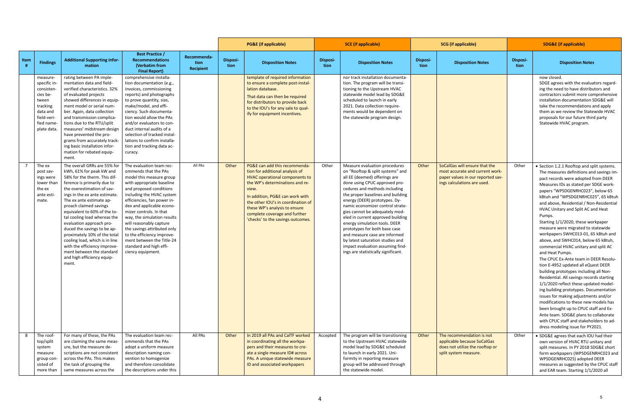|      |                                                                                                                                 |                                                                                                                                                                                                                                                                                                                                                                                                                                                                                                                                               |                                                                                                                                                                                                                                                                                                                                                                                                                                                              |                                         |                  | <b>PG&amp;E</b> (if applicable)                                                                                                                                                                                                                                                                                                       |                         | <b>SCE</b> (if applicable)                                                                                                                                                                                                                                                                                                                                                                                                                                                                                                                                              | <b>SCG</b> (if applicable) |                                                                                                                                     | <b>SDG&amp;E</b> (if applicable) |                                                                                                                                                                                                                                                                                                                                                                                                                                                                                                                                                                                                                                                                                                                                                                                                                                                                                                                                                                                                                                                                                |  |
|------|---------------------------------------------------------------------------------------------------------------------------------|-----------------------------------------------------------------------------------------------------------------------------------------------------------------------------------------------------------------------------------------------------------------------------------------------------------------------------------------------------------------------------------------------------------------------------------------------------------------------------------------------------------------------------------------------|--------------------------------------------------------------------------------------------------------------------------------------------------------------------------------------------------------------------------------------------------------------------------------------------------------------------------------------------------------------------------------------------------------------------------------------------------------------|-----------------------------------------|------------------|---------------------------------------------------------------------------------------------------------------------------------------------------------------------------------------------------------------------------------------------------------------------------------------------------------------------------------------|-------------------------|-------------------------------------------------------------------------------------------------------------------------------------------------------------------------------------------------------------------------------------------------------------------------------------------------------------------------------------------------------------------------------------------------------------------------------------------------------------------------------------------------------------------------------------------------------------------------|----------------------------|-------------------------------------------------------------------------------------------------------------------------------------|----------------------------------|--------------------------------------------------------------------------------------------------------------------------------------------------------------------------------------------------------------------------------------------------------------------------------------------------------------------------------------------------------------------------------------------------------------------------------------------------------------------------------------------------------------------------------------------------------------------------------------------------------------------------------------------------------------------------------------------------------------------------------------------------------------------------------------------------------------------------------------------------------------------------------------------------------------------------------------------------------------------------------------------------------------------------------------------------------------------------------|--|
| Item | <b>Findings</b>                                                                                                                 | <b>Additional Supporting Infor-</b><br>mation                                                                                                                                                                                                                                                                                                                                                                                                                                                                                                 | <b>Best Practice /</b><br><b>Recommendations</b><br>(Verbatim from<br><b>Final Report)</b>                                                                                                                                                                                                                                                                                                                                                                   | Recommenda-<br>tion<br><b>Recipient</b> | Disposi-<br>tion | <b>Disposition Notes</b>                                                                                                                                                                                                                                                                                                              | <b>Disposi-</b><br>tion | <b>Disposition Notes</b>                                                                                                                                                                                                                                                                                                                                                                                                                                                                                                                                                | <b>Disposi-</b><br>tion    | <b>Disposition Notes</b>                                                                                                            | Disposi-<br>tion                 | <b>Disposition Notes</b>                                                                                                                                                                                                                                                                                                                                                                                                                                                                                                                                                                                                                                                                                                                                                                                                                                                                                                                                                                                                                                                       |  |
|      | measure-<br>specific in-<br>consisten-<br>cies be-<br>tween<br>tracking<br>data and<br>field-veri-<br>fied name-<br>plate data. | rating between PA imple-<br>mentation data and field-<br>verified characteristics. 32%<br>of evaluated projects<br>showed differences in equip-<br>ment model or serial num-<br>ber. Again, data collection<br>and transmission complica-<br>tions due to the RTU/split<br>measures' midstream design<br>have prevented the pro-<br>grams from accurately track-<br>ing basic installation infor-<br>mation for rebated equip-<br>ment.                                                                                                       | comprehensive installa-<br>tion documentation (e.g.,<br>invoices, commissioning<br>reports) and photographs<br>to prove quantity, size,<br>make/model, and effi-<br>ciency. Such documenta-<br>tion would allow the PAs<br>and/or evaluators to con-<br>duct internal audits of a<br>selection of tracked instal-<br>lations to confirm installa-<br>tion and tracking data ac-<br>curacy.                                                                   |                                         |                  | template of required information<br>to ensure a complete post-instal-<br>lation database.<br>That data can then be required<br>for distributors to provide back<br>to the IOU's for any sale to qual-<br>ify for equipment incentives.                                                                                                |                         | nor track installation documenta-<br>tion. The program will be transi-<br>tioning to the Upstream HVAC<br>statewide model lead by SDG&E<br>scheduled to launch in early<br>2021. Data collection require-<br>ments would be dependent on<br>the statewide program design.                                                                                                                                                                                                                                                                                               |                            |                                                                                                                                     |                                  | now closed.<br>SDGE agrees with the evaluators regard-<br>ing the need to have distributors and<br>contractors submit more comprehensive<br>installation documentation SDG&E will<br>take the recommendations and apply<br>them as we review the Statewide HVAC<br>proposals for our future third party<br>Statewide HVAC program.                                                                                                                                                                                                                                                                                                                                                                                                                                                                                                                                                                                                                                                                                                                                             |  |
|      | The ex<br>post sav-<br>ings were<br>lower than<br>the ex<br>ante esti-<br>mate.                                                 | The overall GRRs are 55% for<br>kWh, 61% for peak kW and<br>58% for the therm. This dif-<br>ference is primarily due to<br>the overestimation of sav-<br>ings in the ex ante estimate.<br>The ex ante estimate ap-<br>proach claimed savings<br>equivalent to 60% of the to-<br>tal cooling load whereas the<br>evaluation approach pro-<br>duced the savings to be ap-<br>proximately 10% of the total<br>cooling load, which is in line<br>with the efficiency improve-<br>ment between the standard<br>and high efficiency equip-<br>ment. | The evaluation team rec-<br>ommends that the PAs<br>model this measure group<br>with appropriate baseline<br>and proposed conditions<br>including the HVAC system<br>efficiencies, fan power in-<br>dex and applicable econo-<br>mizer controls. In that<br>way, the simulation results<br>will reasonably capture<br>the savings attributed only<br>to the efficiency improve-<br>ment between the Title-24<br>standard and high effi-<br>ciency equipment. | All PAs                                 | Other            | PG&E can add this recommenda-<br>tion for additional analysis of<br><b>HVAC operational components to</b><br>the WP's determinations and re-<br>view.<br>In addition, PG&E can work with<br>the other IOU's in coordination of<br>these WP's analysis to ensure<br>complete coverage and further<br>'checks' to the savings outcomes. | Other                   | Measure evaluation procedures<br>on "Rooftop & split systems" and<br>all EE (deemed) offerings are<br>done using CPUC approved pro-<br>cedures and methods including<br>the proper baselines and building<br>energy (DEER) prototypes. Dy-<br>namic economizer control strate-<br>gies cannot be adequately mod-<br>eled in current approved building<br>energy simulation tools. DEER<br>prototypes for both base case<br>and measure case are informed<br>by latest saturation studies and<br>impact evaluation assuming find-<br>ings are statistically significant. | Other                      | SoCalGas will ensure that the<br>most accurate and current work-<br>paper values in our reported sav-<br>ings calculations are used | Other                            | • Section 1.2.1 Rooftop and split systems.<br>The measures definitions and savings im-<br>pact records were adopted from DEER<br>Measures IDs as stated per SDGE work-<br>papers "WPSDGENRHC023", below 65<br>kBtuh and "WPSDGENRHC025", 65 kBtuh<br>and above, Residential / Non-Residential<br>HVAC Unitary and Split AC and Heat<br>Pumps.<br>Starting 1/1/2020, these workpaper<br>measure were migrated to statewide<br>workpapers SWHC013-01, 65 kBtuh and<br>above, and SWHC014, below 65 kBtuh,<br>commercial HVAC unitary and split AC<br>and Heat Pumps.<br>The CPUC Ex-Ante team in DEER Resolu-<br>tion E-4952 updated all eQuest DEER<br>building prototypes including all Non-<br>Residential. All savings records starting<br>1/1/2020 reflect these updated model-<br>ing building prototypes. Documentation<br>issues for making adjustments and/or<br>modifications to these new models has<br>been brought up to CPUC staff and Ex-<br>Ante team. SDG&E plans to collaborate<br>with CPUC staff and stakeholders to ad-<br>dress modeling issue for PY2021. |  |
| 8    | The roof-<br>top/split<br>system<br>measure<br>group con-<br>sisted of<br>more than                                             | For many of these, the PAs<br>are claiming the same meas-<br>ure, but the measure de-<br>scriptions are not consistent<br>across the PAs. This makes<br>the task of grouping the<br>same measures across the                                                                                                                                                                                                                                                                                                                                  | The evaluation team rec-<br>ommends that the PAs<br>adopt a uniform measure<br>description naming con-<br>vention to homogenize<br>and therefore consolidate<br>the descriptions under this                                                                                                                                                                                                                                                                  | All PAs                                 | Other            | In 2019 all PAs and CalTF worked<br>in coordinating all the workpa-<br>pers and their measures to cre-<br>ate a single measure ID# across<br>PAs. A unique statewide measure<br>ID and associated workpapers                                                                                                                          | Accepted                | The program will be transitioning<br>to the Upstream HVAC statewide<br>model lead by SDG&E scheduled<br>to launch in early 2021. Uni-<br>formity in reporting measure<br>group will be addressed through<br>the statewide model.                                                                                                                                                                                                                                                                                                                                        | Other                      | The recommendation is not<br>applicable because SoCalGas<br>does not utilize the rooftop or<br>split system measure.                | Other                            | • SDG&E agrees that each IOU had their<br>own version of HVAC RTU unitary and<br>split measures. In PY 2018 SDG&E short<br>form workpapers (WPSDGENRHC023 and<br>WPSDGENRHC025) adopted DEER<br>measures as suggested by the CPUC staff<br>and EAR team. Starting 1/1/2020 all                                                                                                                                                                                                                                                                                                                                                                                                                                                                                                                                                                                                                                                                                                                                                                                                 |  |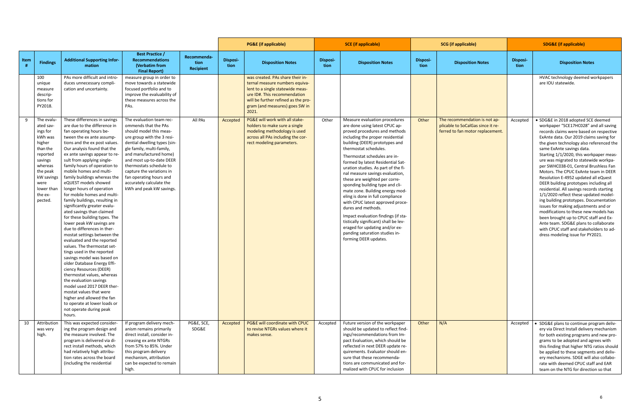|      |                                                                                                                                                                              |                                                                                                                                                                                                                                                                                                                                                                                                                                                                                                                                                                                                                                                                                                                                                                                                                                                                                                                                                                                                                                                                      |                                                                                                                                                                                                                                                                                                                                                                         |                                         |                  | <b>PG&amp;E</b> (if applicable)                                                                                                                                                                                          |                         | <b>SCE</b> (if applicable)                                                                                                                                                                                                                                                                                                                                                                                                                                                                                                                                                                                                                                                                                                       |                  | <b>SCG</b> (if applicable)                                                                             | <b>SDG&amp;E</b> (if applicable) |                                                                                                                                                                                                                                                                                                                                                                                                                                                                                                                                                                                                                                                                                                                                                                                                                                                                                     |
|------|------------------------------------------------------------------------------------------------------------------------------------------------------------------------------|----------------------------------------------------------------------------------------------------------------------------------------------------------------------------------------------------------------------------------------------------------------------------------------------------------------------------------------------------------------------------------------------------------------------------------------------------------------------------------------------------------------------------------------------------------------------------------------------------------------------------------------------------------------------------------------------------------------------------------------------------------------------------------------------------------------------------------------------------------------------------------------------------------------------------------------------------------------------------------------------------------------------------------------------------------------------|-------------------------------------------------------------------------------------------------------------------------------------------------------------------------------------------------------------------------------------------------------------------------------------------------------------------------------------------------------------------------|-----------------------------------------|------------------|--------------------------------------------------------------------------------------------------------------------------------------------------------------------------------------------------------------------------|-------------------------|----------------------------------------------------------------------------------------------------------------------------------------------------------------------------------------------------------------------------------------------------------------------------------------------------------------------------------------------------------------------------------------------------------------------------------------------------------------------------------------------------------------------------------------------------------------------------------------------------------------------------------------------------------------------------------------------------------------------------------|------------------|--------------------------------------------------------------------------------------------------------|----------------------------------|-------------------------------------------------------------------------------------------------------------------------------------------------------------------------------------------------------------------------------------------------------------------------------------------------------------------------------------------------------------------------------------------------------------------------------------------------------------------------------------------------------------------------------------------------------------------------------------------------------------------------------------------------------------------------------------------------------------------------------------------------------------------------------------------------------------------------------------------------------------------------------------|
| Item | <b>Findings</b>                                                                                                                                                              | <b>Additional Supporting Infor-</b><br>mation                                                                                                                                                                                                                                                                                                                                                                                                                                                                                                                                                                                                                                                                                                                                                                                                                                                                                                                                                                                                                        | <b>Best Practice /</b><br><b>Recommendations</b><br>(Verbatim from<br><b>Final Report)</b>                                                                                                                                                                                                                                                                              | Recommenda-<br>tion<br><b>Recipient</b> | Disposi-<br>tion | <b>Disposition Notes</b>                                                                                                                                                                                                 | <b>Disposi-</b><br>tion | <b>Disposition Notes</b>                                                                                                                                                                                                                                                                                                                                                                                                                                                                                                                                                                                                                                                                                                         | Disposi-<br>tion | <b>Disposition Notes</b>                                                                               | Disposi-<br>tion                 | <b>Disposition Notes</b>                                                                                                                                                                                                                                                                                                                                                                                                                                                                                                                                                                                                                                                                                                                                                                                                                                                            |
|      | 100<br>unique<br>measure<br>descrip-<br>tions for<br>PY2018.                                                                                                                 | PAs more difficult and intro-<br>duces unnecessary compli-<br>cation and uncertainty.                                                                                                                                                                                                                                                                                                                                                                                                                                                                                                                                                                                                                                                                                                                                                                                                                                                                                                                                                                                | measure group in order to<br>move towards a statewide<br>focused portfolio and to<br>improve the evaluability of<br>these measures across the<br>PAs.                                                                                                                                                                                                                   |                                         |                  | was created. PAs share their in-<br>ternal measure numbers equiva-<br>lent to a single statewide meas-<br>ure ID#. This recommendation<br>will be further refined as the pro-<br>gram (and measures) goes SW in<br>2021. |                         |                                                                                                                                                                                                                                                                                                                                                                                                                                                                                                                                                                                                                                                                                                                                  |                  |                                                                                                        |                                  | HVAC technology deemed workpapers<br>are IOU statewide.                                                                                                                                                                                                                                                                                                                                                                                                                                                                                                                                                                                                                                                                                                                                                                                                                             |
|      | The evalu-<br>ated sav-<br>ings for<br>kWh was<br>higher<br>than the<br>reported<br>savings<br>whereas<br>the peak<br>kW savings<br>were<br>lower than<br>the ex-<br>pected. | These differences in savings<br>are due to the difference in<br>fan operating hours be-<br>tween the ex ante assump-<br>tions and the ex post values.<br>Our analysis found that the<br>ex ante savings appear to re-<br>sult from applying single-<br>family hours of operation to<br>mobile homes and multi-<br>family buildings whereas the<br>eQUEST models showed<br>longer hours of operation<br>for mobile homes and multi-<br>family buildings, resulting in<br>significantly greater evalu-<br>ated savings than claimed<br>for these building types. The<br>lower peak kW savings are<br>due to differences in ther-<br>mostat settings between the<br>evaluated and the reported<br>values. The thermostat set-<br>tings used in the reported<br>savings model was based on<br>older Database Energy Effi-<br>ciency Resources (DEER)<br>thermostat values, whereas<br>the evaluation savings<br>model used 2017 DEER ther-<br>mostat values that were<br>higher and allowed the fan<br>to operate at lower loads or<br>not operate during peak<br>hours. | The evaluation team rec-<br>ommends that the PAs<br>should model this meas-<br>ure group with the 3 resi-<br>dential dwelling types (sin-<br>gle family, multi-family,<br>and manufactured home)<br>and most up-to-date DEER<br>thermostats schedule to<br>capture the variations in<br>fan operating hours and<br>accurately calculate the<br>kWh and peak kW savings. | All PAs                                 | Accepted         | PG&E will work with all stake-<br>holders to make sure a single<br>modeling methodology is used<br>across all PAs including the cor-<br>rect modeling parameters.                                                        | Other                   | Measure evaluation procedures<br>are done using latest CPUC ap-<br>proved procedures and methods<br>including the proper residential<br>building (DEER) prototypes and<br>thermostat schedules.<br>Thermostat schedules are in-<br>formed by latest Residential Sat-<br>uration studies. As part of the fi-<br>nal measure savings evaluation,<br>these are weighted per corre-<br>sponding building type and cli-<br>mate zone. Building energy mod-<br>eling is done in full compliance<br>with CPUC latest approved proce-<br>dures and methods.<br>Impact evaluation findings (if sta-<br>tistically significant) shall be lev-<br>eraged for updating and/or ex-<br>panding saturation studies in-<br>forming DEER updates. | Other            | The recommendation is not ap-<br>plicable to SoCalGas since it re-<br>ferred to fan motor replacement. | Accepted                         | • SDG&E in 2018 adopted SCE deemed<br>workpaper "SCE17HC028" and all saving<br>records claims were based on respective<br>ExAnte data. Our 2019 claims saving for<br>the given technology also referenced the<br>same ExAnte savings data.<br>Starting 1/1/2020, this workpaper meas-<br>ure was migrated to statewide workpa-<br>per SWHC038-01, Central Brushless Fan<br>Motors. The CPUC ExAnte team in DEER<br>Resolution E-4952 updated all eQuest<br>DEER building prototypes including all<br>residential. All savings records starting<br>1/1/2020 reflect these updated model-<br>ing building prototypes. Documentation<br>issues for making adjustments and or<br>modifications to these new models has<br>been brought up to CPUC staff and Ex-<br>Ante team. SDG&E plans to collaborate<br>with CPUC staff and stakeholders to ad-<br>dress modeling issue for PY2021. |
| 10   | Attribution<br>was very<br>high.                                                                                                                                             | This was expected consider-<br>ing the program design and<br>the measure involved. The<br>program is delivered via di-<br>rect install methods, which<br>had relatively high attribu-<br>tion rates across the board<br>(including the residential                                                                                                                                                                                                                                                                                                                                                                                                                                                                                                                                                                                                                                                                                                                                                                                                                   | If program delivery mech-<br>anism remains primarily<br>direct install, consider in-<br>creasing ex ante NTGRs<br>from 57% to 85%. Under<br>this program delivery<br>mechanism, attribution<br>can be expected to remain<br>high.                                                                                                                                       | PG&E, SCE,<br>SDG&E                     | Accepted         | PG&E will coordinate with CPUC<br>to revise NTGRs values where it<br>makes sense.                                                                                                                                        | Accepted                | Future version of the workpaper<br>should be updated to reflect find-<br>ings/recommendations from Im-<br>pact Evaluation, which should be<br>reflected in next DEER update re-<br>quirements. Evaluator should en-<br>sure that these recommenda-<br>tions are communicated and for-<br>malized with CPUC for inclusion                                                                                                                                                                                                                                                                                                                                                                                                         | Other            | N/A                                                                                                    | Accepted                         | • SDG&E plans to continue program deliv-<br>ery via Direct Install delivery mechanism<br>for both existing programs and new pro-<br>grams to be adopted and agrees with<br>this finding that higher NTG ratios should<br>be applied to these segments and deliv-<br>ery mechanisms. SDGE will also collabo-<br>rate with deemed CPUC staff and EAR<br>team on the NTG for direction so that                                                                                                                                                                                                                                                                                                                                                                                                                                                                                         |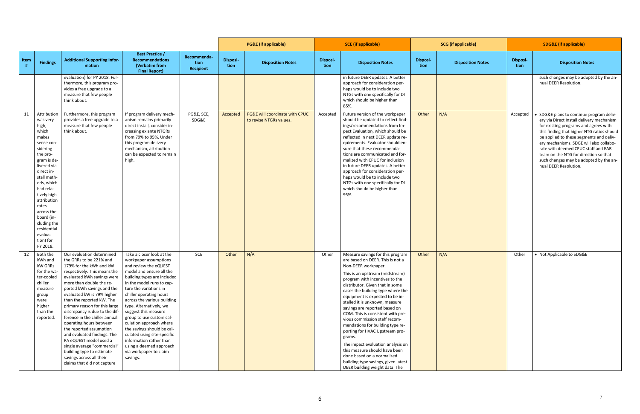|      |                                                                                                                                                                                                                                                                                                                     |                                                                                                                                                                                                                                                                                                                                                                                                                                                                                                                                                                                                              |                                                                                                                                                                                                                                                                                                                                                                                                                                                                                                                            |                                  |                         | <b>PG&amp;E</b> (if applicable)                           |                         | <b>SCE</b> (if applicable)                                                                                                                                                                                                                                                                                                                                                                                                                                                                                                                                                                                                                                                        |                  | <b>SCG</b> (if applicable) |                  | <b>SDG&amp;E</b> (if applicable)                                                                                                                                                                                                                                                                                                                                                                                    |
|------|---------------------------------------------------------------------------------------------------------------------------------------------------------------------------------------------------------------------------------------------------------------------------------------------------------------------|--------------------------------------------------------------------------------------------------------------------------------------------------------------------------------------------------------------------------------------------------------------------------------------------------------------------------------------------------------------------------------------------------------------------------------------------------------------------------------------------------------------------------------------------------------------------------------------------------------------|----------------------------------------------------------------------------------------------------------------------------------------------------------------------------------------------------------------------------------------------------------------------------------------------------------------------------------------------------------------------------------------------------------------------------------------------------------------------------------------------------------------------------|----------------------------------|-------------------------|-----------------------------------------------------------|-------------------------|-----------------------------------------------------------------------------------------------------------------------------------------------------------------------------------------------------------------------------------------------------------------------------------------------------------------------------------------------------------------------------------------------------------------------------------------------------------------------------------------------------------------------------------------------------------------------------------------------------------------------------------------------------------------------------------|------------------|----------------------------|------------------|---------------------------------------------------------------------------------------------------------------------------------------------------------------------------------------------------------------------------------------------------------------------------------------------------------------------------------------------------------------------------------------------------------------------|
| Item | <b>Findings</b>                                                                                                                                                                                                                                                                                                     | <b>Additional Supporting Infor-</b><br>mation                                                                                                                                                                                                                                                                                                                                                                                                                                                                                                                                                                | <b>Best Practice /</b><br><b>Recommendations</b><br>(Verbatim from<br><b>Final Report)</b>                                                                                                                                                                                                                                                                                                                                                                                                                                 | Recommenda-<br>tion<br>Recipient | <b>Disposi-</b><br>tion | <b>Disposition Notes</b>                                  | <b>Disposi-</b><br>tion | <b>Disposition Notes</b>                                                                                                                                                                                                                                                                                                                                                                                                                                                                                                                                                                                                                                                          | Disposi-<br>tion | <b>Disposition Notes</b>   | Disposi-<br>tion | <b>Disposition Notes</b>                                                                                                                                                                                                                                                                                                                                                                                            |
|      |                                                                                                                                                                                                                                                                                                                     | evaluation) for PY 2018. Fur-<br>thermore, this program pro-<br>vides a free upgrade to a<br>measure that few people<br>think about.                                                                                                                                                                                                                                                                                                                                                                                                                                                                         |                                                                                                                                                                                                                                                                                                                                                                                                                                                                                                                            |                                  |                         |                                                           |                         | in future DEER updates. A better<br>approach for consideration per-<br>haps would be to include two<br>NTGs with one specifically for DI<br>which should be higher than<br>85%.                                                                                                                                                                                                                                                                                                                                                                                                                                                                                                   |                  |                            |                  | such changes may be adopted by the an-<br>nual DEER Resolution.                                                                                                                                                                                                                                                                                                                                                     |
| 11   | Attribution<br>was very<br>high,<br>which<br>makes<br>sense con-<br>sidering<br>the pro-<br>gram is de-<br>livered via<br>direct in-<br>stall meth-<br>ods, which<br>had rela-<br>tively high<br>attribution<br>rates<br>across the<br>board (in-<br>cluding the<br>residential<br>evalua-<br>tion) for<br>PY 2018. | Furthermore, this program<br>provides a free upgrade to a<br>measure that few people<br>think about.                                                                                                                                                                                                                                                                                                                                                                                                                                                                                                         | If program delivery mech-<br>anism remains primarily<br>direct install, consider in-<br>creasing ex ante NTGRs<br>from 79% to 95%. Under<br>this program delivery<br>mechanism, attribution<br>can be expected to remain<br>high.                                                                                                                                                                                                                                                                                          | PG&E, SCE,<br>SDG&E              | Accepted                | PG&E will coordinate with CPUC<br>to revise NTGRs values. | Accepted                | Future version of the workpaper<br>should be updated to reflect find-<br>ings/recommendations from Im-<br>pact Evaluation, which should be<br>reflected in next DEER update re-<br>quirements. Evaluator should en-<br>sure that these recommenda-<br>tions are communicated and for-<br>malized with CPUC for inclusion<br>in future DEER updates. A better<br>approach for consideration per-<br>haps would be to include two<br>NTGs with one specifically for DI<br>which should be higher than<br>95%.                                                                                                                                                                       | Other            | N/A                        | Accepted         | SDG&E plans to continue program deliv-<br>ery via Direct Install delivery mechanism<br>for existing programs and agrees with<br>this finding that higher NTG ratios should<br>be applied to these segments and deliv-<br>ery mechanisms. SDGE will also collabo-<br>rate with deemed CPUC staff and EAR<br>team on the NTG for direction so that<br>such changes may be adopted by the an-<br>nual DEER Resolution. |
| 12   | Both the<br>kWh and<br>kW GRRs<br>for the wa-<br>ter-cooled<br>chiller<br>measure<br>group<br>were<br>higher<br>than the<br>reported.                                                                                                                                                                               | Our evaluation determined<br>the GRRs to be 221% and<br>179% for the kWh and kW<br>respectively. This means the<br>evaluated kWh savings were<br>more than double the re-<br>ported kWh savings and the<br>evaluated kW is 79% higher<br>than the reported kW. The<br>primary reason for this large<br>discrepancy is due to the dif-<br>ference in the chiller annual<br>operating hours between<br>the reported assumption<br>and evaluated findings. The<br>PA eQUEST model used a<br>single average "commercial"<br>building type to estimate<br>savings across all their<br>claims that did not capture | Take a closer look at the<br>workpaper assumptions<br>and review the eQUEST<br>model and ensure all the<br>building types are included<br>in the model runs to cap-<br>ture the variations in<br>chiller operating hours<br>across the various building<br>type. Alternatively, we<br>suggest this measure<br>group to use custom cal-<br>culation approach where<br>the savings should be cal-<br>culated using site-specific<br>information rather than<br>using a deemed approach<br>via workpaper to claim<br>savings. | SCE                              | Other                   | N/A                                                       | Other                   | Measure savings for this program<br>are based on DEER. This is not a<br>Non-DEER workpaper.<br>This is an upstream (midstream)<br>program with incentives to the<br>distributor. Given that in some<br>cases the building type where the<br>equipment is expected to be in-<br>stalled it is unknown, measure<br>savings are reported based on<br>COM. This is consistent with pre-<br>vious commission staff recom-<br>mendations for building type re-<br>porting for HVAC Upstream pro-<br>grams.<br>The impact evaluation analysis on<br>this measure should have been<br>done based on a normalized<br>building type savings, given latest<br>DEER building weight data. The | Other            | N/A                        | Other            | • Not Applicable to SDG&E                                                                                                                                                                                                                                                                                                                                                                                           |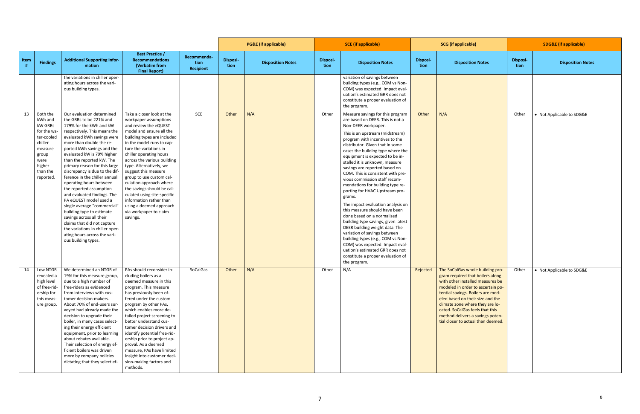|      |                                                                                                                                       |                                                                                                                                                                                                                                                                                                                                                                                                                                                                                                                                                                                                                                                                                                        |                                                                                                                                                                                                                                                                                                                                                                                                                                                                                                                            |                                  |                  | <b>PG&amp;E</b> (if applicable) | <b>SCE</b> (if applicable) |                                                                                                                                                                                                                                                                                                                                                                                                                                                                                                                                                                                                                                                                                                                                                                                                                                                                                   | <b>SCG</b> (if applicable) |                                                                                                                                                                                                                                                                                                                                                                        | <b>SDG&amp;E</b> (if applicable) |                           |
|------|---------------------------------------------------------------------------------------------------------------------------------------|--------------------------------------------------------------------------------------------------------------------------------------------------------------------------------------------------------------------------------------------------------------------------------------------------------------------------------------------------------------------------------------------------------------------------------------------------------------------------------------------------------------------------------------------------------------------------------------------------------------------------------------------------------------------------------------------------------|----------------------------------------------------------------------------------------------------------------------------------------------------------------------------------------------------------------------------------------------------------------------------------------------------------------------------------------------------------------------------------------------------------------------------------------------------------------------------------------------------------------------------|----------------------------------|------------------|---------------------------------|----------------------------|-----------------------------------------------------------------------------------------------------------------------------------------------------------------------------------------------------------------------------------------------------------------------------------------------------------------------------------------------------------------------------------------------------------------------------------------------------------------------------------------------------------------------------------------------------------------------------------------------------------------------------------------------------------------------------------------------------------------------------------------------------------------------------------------------------------------------------------------------------------------------------------|----------------------------|------------------------------------------------------------------------------------------------------------------------------------------------------------------------------------------------------------------------------------------------------------------------------------------------------------------------------------------------------------------------|----------------------------------|---------------------------|
| Item | <b>Findings</b>                                                                                                                       | <b>Additional Supporting Infor-</b><br>mation                                                                                                                                                                                                                                                                                                                                                                                                                                                                                                                                                                                                                                                          | <b>Best Practice /</b><br><b>Recommendations</b><br>(Verbatim from<br><b>Final Report)</b>                                                                                                                                                                                                                                                                                                                                                                                                                                 | Recommenda-<br>tion<br>Recipient | Disposi-<br>tion | <b>Disposition Notes</b>        | <b>Disposi-</b><br>tion    | <b>Disposition Notes</b>                                                                                                                                                                                                                                                                                                                                                                                                                                                                                                                                                                                                                                                                                                                                                                                                                                                          | <b>Disposi-</b><br>tion    | <b>Disposition Notes</b>                                                                                                                                                                                                                                                                                                                                               | <b>Disposi-</b><br>tion          | <b>Disposition Notes</b>  |
|      |                                                                                                                                       | the variations in chiller oper-<br>ating hours across the vari-<br>ous building types.                                                                                                                                                                                                                                                                                                                                                                                                                                                                                                                                                                                                                 |                                                                                                                                                                                                                                                                                                                                                                                                                                                                                                                            |                                  |                  |                                 |                            | variation of savings between<br>building types (e.g., COM vs Non-<br>COM) was expected. Impact eval-<br>uation's estimated GRR does not<br>constitute a proper evaluation of<br>the program.                                                                                                                                                                                                                                                                                                                                                                                                                                                                                                                                                                                                                                                                                      |                            |                                                                                                                                                                                                                                                                                                                                                                        |                                  |                           |
| 13   | Both the<br>kWh and<br>kW GRRs<br>for the wa-<br>ter-cooled<br>chiller<br>measure<br>group<br>were<br>higher<br>than the<br>reported. | Our evaluation determined<br>the GRRs to be 221% and<br>179% for the kWh and kW<br>respectively. This means the<br>evaluated kWh savings were<br>more than double the re-<br>ported kWh savings and the<br>evaluated kW is 79% higher<br>than the reported kW. The<br>primary reason for this large<br>discrepancy is due to the dif-<br>ference in the chiller annual<br>operating hours between<br>the reported assumption<br>and evaluated findings. The<br>PA eQUEST model used a<br>single average "commercial"<br>building type to estimate<br>savings across all their<br>claims that did not capture<br>the variations in chiller oper-<br>ating hours across the vari-<br>ous building types. | Take a closer look at the<br>workpaper assumptions<br>and review the eQUEST<br>model and ensure all the<br>building types are included<br>in the model runs to cap-<br>ture the variations in<br>chiller operating hours<br>across the various building<br>type. Alternatively, we<br>suggest this measure<br>group to use custom cal-<br>culation approach where<br>the savings should be cal-<br>culated using site-specific<br>information rather than<br>using a deemed approach<br>via workpaper to claim<br>savings. | SCE                              | Other            | N/A                             | Other                      | Measure savings for this program<br>are based on DEER. This is not a<br>Non-DEER workpaper.<br>This is an upstream (midstream)<br>program with incentives to the<br>distributor. Given that in some<br>cases the building type where the<br>equipment is expected to be in-<br>stalled it is unknown, measure<br>savings are reported based on<br>COM. This is consistent with pre-<br>vious commission staff recom-<br>mendations for building type re-<br>porting for HVAC Upstream pro-<br>grams.<br>The impact evaluation analysis on<br>this measure should have been<br>done based on a normalized<br>building type savings, given latest<br>DEER building weight data. The<br>variation of savings between<br>building types (e.g., COM vs Non-<br>COM) was expected. Impact eval-<br>uation's estimated GRR does not<br>constitute a proper evaluation of<br>the program. | Other                      | N/A                                                                                                                                                                                                                                                                                                                                                                    | Other                            | • Not Applicable to SDG&E |
| 14   | Low NTGR<br>revealed a<br>high level<br>of free-rid-<br>ership for<br>this meas-<br>ure group.                                        | We determined an NTGR of   PAs should reconsider in-<br>19% for this measure group,<br>due to a high number of<br>free-riders as evidenced<br>from interviews with cus-<br>tomer decision-makers.<br>About 70% of end-users sur-<br>veyed had already made the<br>decision to upgrade their<br>boiler, in many cases select-<br>ing their energy efficient<br>equipment, prior to learning<br>about rebates available.<br>Their selection of energy ef-<br>ficient boilers was driven<br>more by company policies<br>dictating that they select ef-                                                                                                                                                    | cluding boilers as a<br>deemed measure in this<br>program. This measure<br>has previously been of-<br>fered under the custom<br>program by other PAs,<br>which enables more de-<br>tailed project screening to<br>better understand cus-<br>tomer decision drivers and<br>identify potential free-rid-<br>ership prior to project ap-<br>proval. As a deemed<br>measure, PAs have limited<br>insight into customer deci-<br>sion-making factors and<br>methods.                                                            | SoCalGas                         | Other            | N/A                             | Other                      | N/A                                                                                                                                                                                                                                                                                                                                                                                                                                                                                                                                                                                                                                                                                                                                                                                                                                                                               | Rejected                   | The SoCalGas whole building pro-<br>gram required that boilers along<br>with other installed measures be<br>modeled in order to ascertain po-<br>tential savings. Boilers are mod-<br>eled based on their size and the<br>climate zone where they are lo-<br>cated. SoCalGas feels that this<br>method delivers a savings poten-<br>tial closer to actual than deemed. | Other                            | • Not Applicable to SDG&E |